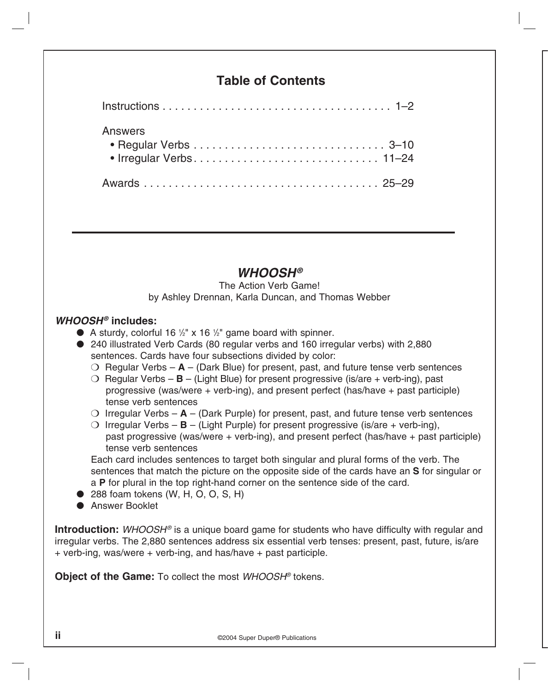# **Table of Contents**

| <b>Answers</b> |  |  |  |  |
|----------------|--|--|--|--|
|                |  |  |  |  |
|                |  |  |  |  |

# *WHOOSH®*

The Action Verb Game! by Ashley Drennan, Karla Duncan, and Thomas Webber

## *WHOOSH®* **includes:**

- A sturdy, colorful 16 <sup>1/2</sup> x 16 <sup>1/2</sup> game board with spinner.
- 240 illustrated Verb Cards (80 regular verbs and 160 irregular verbs) with 2,880 sentences. Cards have four subsections divided by color:
	- $\bigcirc$  Regular Verbs  $\mathbf{A}$  (Dark Blue) for present, past, and future tense verb sentences
	- $\bigcirc$  Regular Verbs **B** (Light Blue) for present progressive (is/are + verb-ing), past progressive (was/were + verb-ing), and present perfect (has/have + past participle) tense verb sentences
	- O Irregular Verbs  $A$  (Dark Purple) for present, past, and future tense verb sentences
	- O Irregular Verbs  $\mathbf{B}$  (Light Purple) for present progressive (is/are + verb-ing), past progressive (was/were + verb-ing), and present perfect (has/have + past participle) tense verb sentences

 Each card includes sentences to target both singular and plural forms of the verb. The sentences that match the picture on the opposite side of the cards have an **S** for singular or a **P** for plural in the top right-hand corner on the sentence side of the card.

- $\bullet$  288 foam tokens (W, H, O, O, S, H)
- **Answer Booklet**

**Introduction:** *WHOOSH®* is a unique board game for students who have difficulty with regular and irregular verbs. The 2,880 sentences address six essential verb tenses: present, past, future, is/are + verb-ing, was/were + verb-ing, and has/have + past participle.

**Object of the Game:** To collect the most *WHOOSH®* tokens.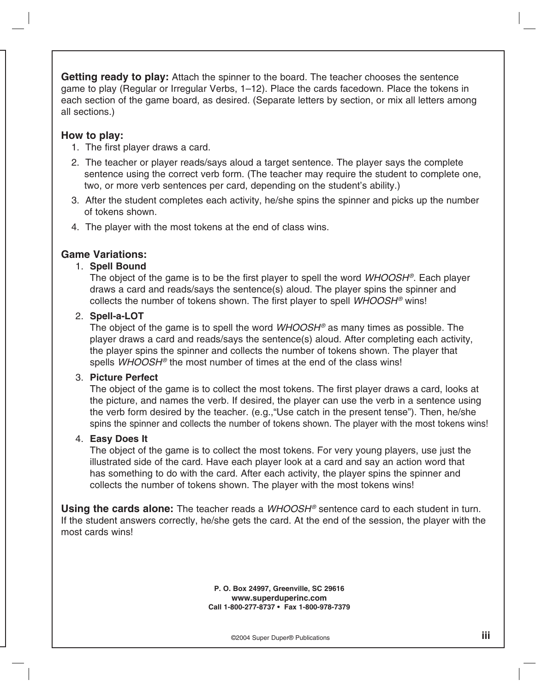**Getting ready to play:** Attach the spinner to the board. The teacher chooses the sentence game to play (Regular or Irregular Verbs, 1–12). Place the cards facedown. Place the tokens in each section of the game board, as desired. (Separate letters by section, or mix all letters among all sections.)

## **How to play:**

- 1. The first player draws a card.
- 2. The teacher or player reads/says aloud a target sentence. The player says the complete sentence using the correct verb form. (The teacher may require the student to complete one, two, or more verb sentences per card, depending on the student's ability.)
- 3. After the student completes each activity, he/she spins the spinner and picks up the number of tokens shown.
- 4. The player with the most tokens at the end of class wins.

## **Game Variations:**

## 1. **Spell Bound**

 The object of the game is to be the first player to spell the word *WHOOSH®*. Each player draws a card and reads/says the sentence(s) aloud. The player spins the spinner and collects the number of tokens shown. The first player to spell *WHOOSH®* wins!

## 2. **Spell-a-LOT**

 The object of the game is to spell the word *WHOOSH®* as many times as possible. The player draws a card and reads/says the sentence(s) aloud. After completing each activity, the player spins the spinner and collects the number of tokens shown. The player that spells *WHOOSH®* the most number of times at the end of the class wins!

## 3. **Picture Perfect**

 The object of the game is to collect the most tokens. The first player draws a card, looks at the picture, and names the verb. If desired, the player can use the verb in a sentence using the verb form desired by the teacher. (e.g.,"Use catch in the present tense"). Then, he/she spins the spinner and collects the number of tokens shown. The player with the most tokens wins!

## 4. **Easy Does It**

The object of the game is to collect the most tokens. For very young players, use just the illustrated side of the card. Have each player look at a card and say an action word that has something to do with the card. After each activity, the player spins the spinner and collects the number of tokens shown. The player with the most tokens wins!

**Using the cards alone:** The teacher reads a *WHOOSH®* sentence card to each student in turn. If the student answers correctly, he/she gets the card. At the end of the session, the player with the most cards wins!

> **P. O. Box 24997, Greenville, SC 29616 www.superduperinc.com Call 1-800-277-8737 • Fax 1-800-978-7379**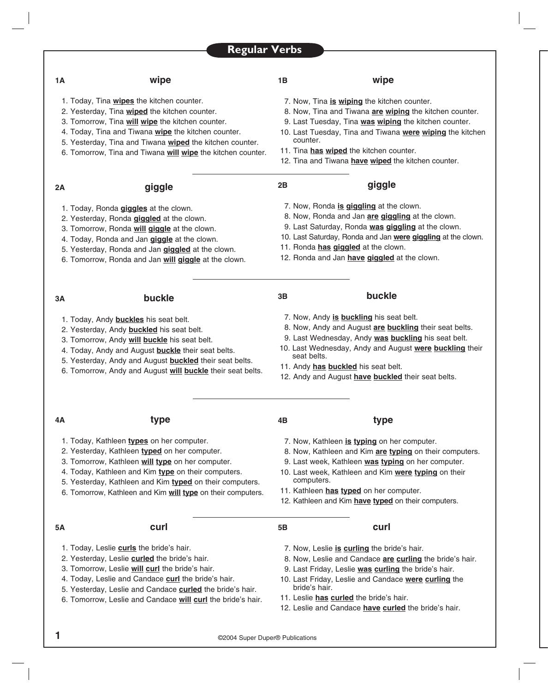## **1B wipe**

1. Today, Tina **wipes** the kitchen counter.

**1A wipe**

- 2. Yesterday, Tina **wiped** the kitchen counter.
- 3. Tomorrow, Tina **will wipe** the kitchen counter.
- 4. Today, Tina and Tiwana **wipe** the kitchen counter.
- 5. Yesterday, Tina and Tiwana **wiped** the kitchen counter.
- 6. Tomorrow, Tina and Tiwana **will wipe** the kitchen counter.

- 7. Now, Tina **is wiping** the kitchen counter.
- 8. Now, Tina and Tiwana **are wiping** the kitchen counter.
- 9. Last Tuesday, Tina **was wiping** the kitchen counter.
- 10. Last Tuesday, Tina and Tiwana **were wiping** the kitchen counter.
- 11. Tina **has wiped** the kitchen counter.
- 12. Tina and Tiwana **have wiped** the kitchen counter.

| 2Α                                                | giggle                                    | 2B                                                           | giggle                                           |  |  |  |
|---------------------------------------------------|-------------------------------------------|--------------------------------------------------------------|--------------------------------------------------|--|--|--|
| 1. Today, Ronda giggles at the clown.             |                                           | 7. Now, Ronda is giggling at the clown.                      |                                                  |  |  |  |
|                                                   | 2. Yesterday, Ronda giggled at the clown. |                                                              | 8. Now, Ronda and Jan are giggling at the clown. |  |  |  |
| 3. Tomorrow, Ronda will giggle at the clown.      |                                           | 9. Last Saturday, Ronda was giggling at the clown.           |                                                  |  |  |  |
| 4. Today, Ronda and Jan giggle at the clown.      |                                           | 10. Last Saturday, Ronda and Jan were giggling at the clown. |                                                  |  |  |  |
| 5. Yesterday, Ronda and Jan giggled at the clown. |                                           | 11. Ronda has giggled at the clown.                          |                                                  |  |  |  |

- 11. Ronda **has giggled** at the clown.
- 12. Ronda and Jan **have giggled** at the clown.

1. Today, Andy **buckles** his seat belt.

**3A buckle**

- 2. Yesterday, Andy **buckled** his seat belt.
- 3. Tomorrow, Andy **will buckle** his seat belt.
- 4. Today, Andy and August **buckle** their seat belts.
- 5. Yesterday, Andy and August **buckled** their seat belts.

6. Tomorrow, Ronda and Jan **will giggle** at the clown.

6. Tomorrow, Andy and August **will buckle** their seat belts.

### **3B buckle**

- 7. Now, Andy **is buckling** his seat belt.
- 8. Now, Andy and August **are buckling** their seat belts.
- 9. Last Wednesday, Andy **was buckling** his seat belt.
- 10. Last Wednesday, Andy and August **were buckling** their seat belts.

8. Now, Kathleen and Kim **are typing** on their computers. 9. Last week, Kathleen **was typing** on her computer. 10. Last week, Kathleen and Kim **were typing** on their

11. Andy **has buckled** his seat belt.

**4B type**

computers.

12. Andy and August **have buckled** their seat belts.

7. Now, Kathleen **is typing** on her computer.

## **4A type**

- 1. Today, Kathleen **types** on her computer.
- 2. Yesterday, Kathleen **typed** on her computer.
- 3. Tomorrow, Kathleen **will type** on her computer.
- 4. Today, Kathleen and Kim **type** on their computers.
- 5. Yesterday, Kathleen and Kim **typed** on their computers.
- 6. Tomorrow, Kathleen and Kim **will type** on their computers.

### **5A curl**

- 1. Today, Leslie **curls** the bride's hair.
- 2. Yesterday, Leslie **curled** the bride's hair.
- 3. Tomorrow, Leslie **will curl** the bride's hair.
- 4. Today, Leslie and Candace **curl** the bride's hair.
- 5. Yesterday, Leslie and Candace **curled** the bride's hair.
- 6. Tomorrow, Leslie and Candace **will curl** the bride's hair.
- 7. Now, Leslie **is curling** the bride's hair.

**5B curl**

11. Kathleen **has typed** on her computer.

- 8. Now, Leslie and Candace **are curling** the bride's hair.
- 9. Last Friday, Leslie **was curling** the bride's hair.

12. Kathleen and Kim **have typed** on their computers.

- 10. Last Friday, Leslie and Candace **were curling** the bride's hair.
- 11. Leslie **has curled** the bride's hair.
- 12. Leslie and Candace **have curled** the bride's hair.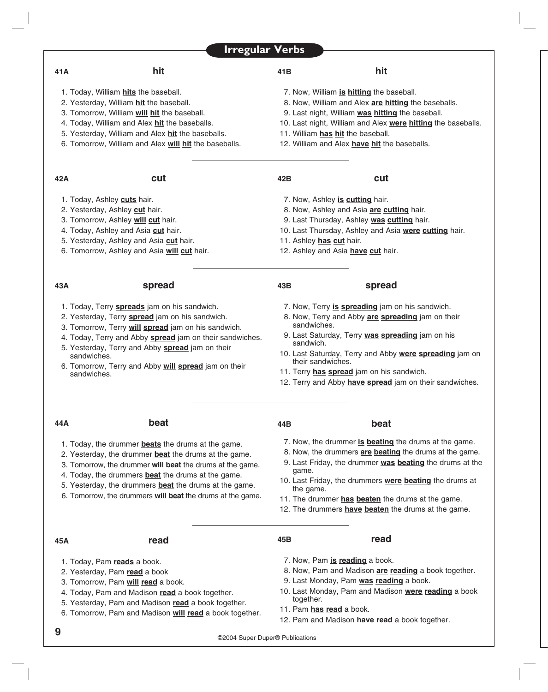| <b>Irregular Verbs</b> |  |  |  |
|------------------------|--|--|--|
|------------------------|--|--|--|

### **41A hit**

- 1. Today, William **hits** the baseball.
- 2. Yesterday, William **hit** the baseball.
- 3. Tomorrow, William **will hit** the baseball.
- 4. Today, William and Alex **hit** the baseballs.
- 5. Yesterday, William and Alex **hit** the baseballs.
- 6. Tomorrow, William and Alex **will hit** the baseballs.

### **42A cut**

- 1. Today, Ashley **cuts** hair.
- 2. Yesterday, Ashley **cut** hair.
- 3. Tomorrow, Ashley **will cut** hair.
- 4. Today, Ashley and Asia **cut** hair.
- 5. Yesterday, Ashley and Asia **cut** hair.
- 6. Tomorrow, Ashley and Asia **will cut** hair.

### **43A spread**

## 1. Today, Terry **spreads** jam on his sandwich.

- 2. Yesterday, Terry **spread** jam on his sandwich.
- 3. Tomorrow, Terry **will spread** jam on his sandwich.
- 4. Today, Terry and Abby **spread** jam on their sandwiches.
- 5. Yesterday, Terry and Abby **spread** jam on their sandwiches.
- 6. Tomorrow, Terry and Abby **will spread** jam on their sandwiches.

### **41B hit**

- 7. Now, William **is hitting** the baseball.
- 8. Now, William and Alex **are hitting** the baseballs.
- 9. Last night, William **was hitting** the baseball.
- 10. Last night, William and Alex **were hitting** the baseballs.
- 11. William **has hit** the baseball.
- 12. William and Alex **have hit** the baseballs.

- 7. Now, Ashley **is cutting** hair.
- 8. Now, Ashley and Asia **are cutting** hair.
- 9. Last Thursday, Ashley **was cutting** hair.
- 10. Last Thursday, Ashley and Asia **were cutting** hair.
- 11. Ashley **has cut** hair.
- 12. Ashley and Asia **have cut** hair.

### **43B spread**

## 7. Now, Terry **is spreading** jam on his sandwich.

- 8. Now, Terry and Abby **are spreading** jam on their sandwiches.
- 9. Last Saturday, Terry **was spreading** jam on his sandwich.
- 10. Last Saturday, Terry and Abby **were spreading** jam on their sandwiches.
- 11. Terry **has spread** jam on his sandwich.
- 12. Terry and Abby **have spread** jam on their sandwiches.

## **44A beat**

- 1. Today, the drummer **beats** the drums at the game.
- 2. Yesterday, the drummer **beat** the drums at the game.
- 3. Tomorrow, the drummer **will beat** the drums at the game.
- 4. Today, the drummers **beat** the drums at the game.
- 5. Yesterday, the drummers **beat** the drums at the game.
- 6. Tomorrow, the drummers **will beat** the drums at the game.

**44B beat**

- 7. Now, the drummer **is beating** the drums at the game.
- 8. Now, the drummers **are beating** the drums at the game.
- 9. Last Friday, the drummer **was beating** the drums at the game.
- 10. Last Friday, the drummers **were beating** the drums at the game.
- 11. The drummer **has beaten** the drums at the game.
- 12. The drummers **have beaten** the drums at the game.

### **45A read**

- 1. Today, Pam **reads** a book.
- 2. Yesterday, Pam **read** a book
- 3. Tomorrow, Pam **will read** a book.
- 4. Today, Pam and Madison **read** a book together.
- 5. Yesterday, Pam and Madison **read** a book together.
- 6. Tomorrow, Pam and Madison **will read** a book together.
- 
- 7. Now, Pam **is reading** a book.

**45B read**

- 8. Now, Pam and Madison **are reading** a book together.
- 9. Last Monday, Pam **was reading** a book.
- 10. Last Monday, Pam and Madison **were reading** a book together.
- 11. Pam **has read** a book.
- 12. Pam and Madison **have read** a book together.

### **42B cut**